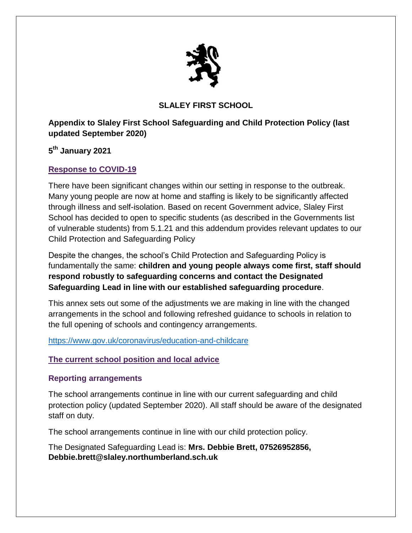

# **SLALEY FIRST SCHOOL**

**Appendix to Slaley First School Safeguarding and Child Protection Policy (last updated September 2020)**

**5 th January 2021**

## **Response to COVID-19**

There have been significant changes within our setting in response to the outbreak. Many young people are now at home and staffing is likely to be significantly affected through illness and self-isolation. Based on recent Government advice, Slaley First School has decided to open to specific students (as described in the Governments list of vulnerable students) from 5.1.21 and this addendum provides relevant updates to our Child Protection and Safeguarding Policy

Despite the changes, the school's Child Protection and Safeguarding Policy is fundamentally the same: **children and young people always come first, staff should respond robustly to safeguarding concerns and contact the Designated Safeguarding Lead in line with our established safeguarding procedure**.

This annex sets out some of the adjustments we are making in line with the changed arrangements in the school and following refreshed guidance to schools in relation to the full opening of schools and contingency arrangements.

<https://www.gov.uk/coronavirus/education-and-childcare>

### **The current school position and local advice**

### **Reporting arrangements**

The school arrangements continue in line with our current safeguarding and child protection policy (updated September 2020). All staff should be aware of the designated staff on duty.

The school arrangements continue in line with our child protection policy.

The Designated Safeguarding Lead is: **Mrs. Debbie Brett, 07526952856, Debbie.brett@slaley.northumberland.sch.uk**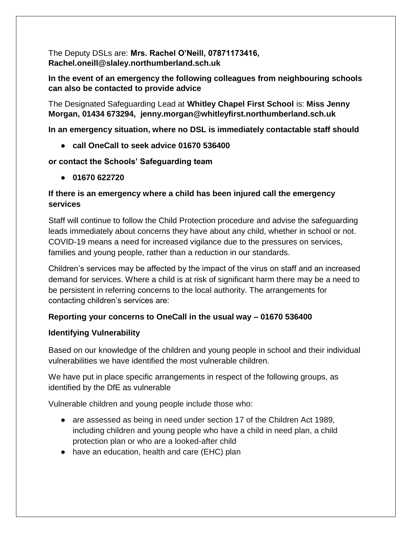The Deputy DSLs are: **Mrs. Rachel O'Neill, 07871173416, Rachel.oneill@slaley.northumberland.sch.uk**

**In the event of an emergency the following colleagues from neighbouring schools can also be contacted to provide advice** 

The Designated Safeguarding Lead at **Whitley Chapel First School** is: **Miss Jenny Morgan, 01434 673294, jenny.morgan@whitleyfirst.northumberland.sch.uk**

**In an emergency situation, where no DSL is immediately contactable staff should**

● **call OneCall to seek advice 01670 536400**

### **or contact the Schools' Safeguarding team**

● **01670 622720** 

## **If there is an emergency where a child has been injured call the emergency services**

Staff will continue to follow the Child Protection procedure and advise the safeguarding leads immediately about concerns they have about any child, whether in school or not. COVID-19 means a need for increased vigilance due to the pressures on services, families and young people, rather than a reduction in our standards.

Children's services may be affected by the impact of the virus on staff and an increased demand for services. Where a child is at risk of significant harm there may be a need to be persistent in referring concerns to the local authority. The arrangements for contacting children's services are:

# **Reporting your concerns to OneCall in the usual way – 01670 536400**

### **Identifying Vulnerability**

Based on our knowledge of the children and young people in school and their individual vulnerabilities we have identified the most vulnerable children.

We have put in place specific arrangements in respect of the following groups, as identified by the DfE as vulnerable

Vulnerable children and young people include those who:

- are assessed as being in need under section 17 of the Children Act 1989, including children and young people who have a child in need plan, a child protection plan or who are a looked-after child
- have an education, health and care (EHC) plan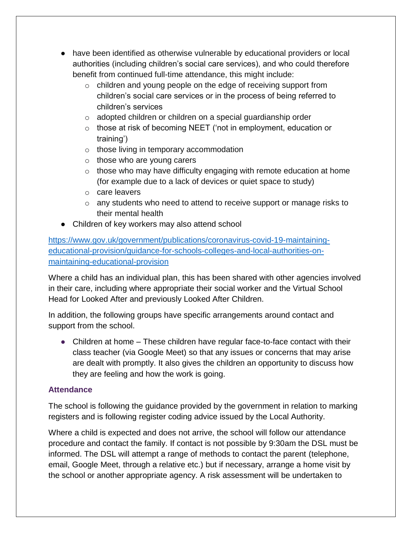- have been identified as otherwise vulnerable by educational providers or local authorities (including children's social care services), and who could therefore benefit from continued full-time attendance, this might include:
	- o children and young people on the edge of receiving support from children's social care services or in the process of being referred to children's services
	- o adopted children or children on a special guardianship order
	- o those at risk of becoming NEET ('not in employment, education or training')
	- o those living in temporary accommodation
	- o those who are young carers
	- $\circ$  those who may have difficulty engaging with remote education at home (for example due to a lack of devices or quiet space to study)
	- o care leavers
	- $\circ$  any students who need to attend to receive support or manage risks to their mental health
- Children of key workers may also attend school

[https://www.gov.uk/government/publications/coronavirus-covid-19-maintaining](https://www.gov.uk/government/publications/coronavirus-covid-19-maintaining-educational-provision/guidance-for-schools-colleges-and-local-authorities-on-maintaining-educational-provision)[educational-provision/guidance-for-schools-colleges-and-local-authorities-on](https://www.gov.uk/government/publications/coronavirus-covid-19-maintaining-educational-provision/guidance-for-schools-colleges-and-local-authorities-on-maintaining-educational-provision)[maintaining-educational-provision](https://www.gov.uk/government/publications/coronavirus-covid-19-maintaining-educational-provision/guidance-for-schools-colleges-and-local-authorities-on-maintaining-educational-provision)

Where a child has an individual plan, this has been shared with other agencies involved in their care, including where appropriate their social worker and the Virtual School Head for Looked After and previously Looked After Children.

In addition, the following groups have specific arrangements around contact and support from the school.

 $\bullet$  Children at home  $-$  These children have regular face-to-face contact with their class teacher (via Google Meet) so that any issues or concerns that may arise are dealt with promptly. It also gives the children an opportunity to discuss how they are feeling and how the work is going.

### **Attendance**

The school is following the [guidance provided by the government](https://www.gov.uk/government/publications/coronavirus-covid-19-attendance-recording-for-educational-settings/process-for-recording-attendance-and-using-the-educational-setting-status-form) in relation to marking registers and is following [register coding advice](http://northumberlandeducation.co.uk/wp-content/uploads/2020/06/Register-coding-from-01.06.20.pdf) issued by the Local Authority.

Where a child is expected and does not arrive, the school will follow our attendance procedure and contact the family. If contact is not possible by 9:30am the DSL must be informed. The DSL will attempt a range of methods to contact the parent (telephone, email, Google Meet, through a relative etc.) but if necessary, arrange a home visit by the school or another appropriate agency. A risk assessment will be undertaken to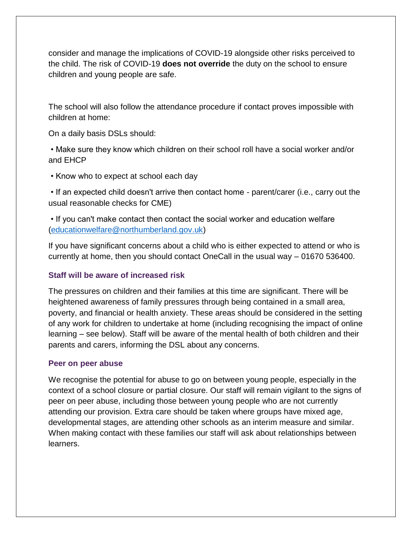consider and manage the implications of COVID-19 alongside other risks perceived to the child. The risk of COVID-19 **does not override** the duty on the school to ensure children and young people are safe.

The school will also follow the attendance procedure if contact proves impossible with children at home:

On a daily basis DSLs should:

• Make sure they know which children on their school roll have a social worker and/or and EHCP

• Know who to expect at school each day

• If an expected child doesn't arrive then contact home - parent/carer (i.e., carry out the usual reasonable checks for CME)

• If you can't make contact then contact the social worker and education welfare [\(educationwelfare@northumberland.gov.uk\)](mailto:educationwelfare@northumberland.gov.uk)

If you have significant concerns about a child who is either expected to attend or who is currently at home, then you should contact OneCall in the usual way – 01670 536400.

### **Staff will be aware of increased risk**

The pressures on children and their families at this time are significant. There will be heightened awareness of family pressures through being contained in a small area, poverty, and financial or health anxiety. These areas should be considered in the setting of any work for children to undertake at home (including recognising the impact of online learning – see below). Staff will be aware of the mental health of both children and their parents and carers, informing the DSL about any concerns.

#### **Peer on peer abuse**

We recognise the potential for abuse to go on between young people, especially in the context of a school closure or partial closure. Our staff will remain vigilant to the signs of peer on peer abuse, including those between young people who are not currently attending our provision. Extra care should be taken where groups have mixed age, developmental stages, are attending other schools as an interim measure and similar. When making contact with these families our staff will ask about relationships between learners.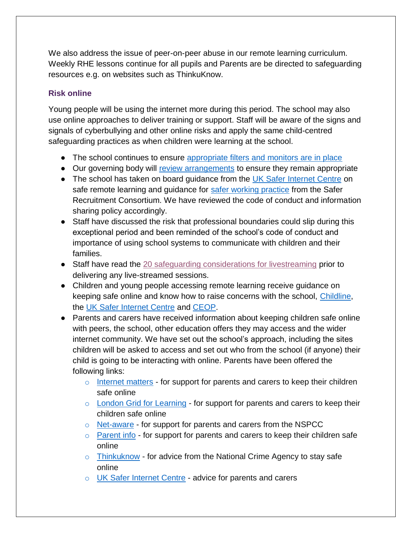We also address the issue of peer-on-peer abuse in our remote learning curriculum. Weekly RHE lessons continue for all pupils and Parents are be directed to safeguarding resources e.g. on websites such as ThinkuKnow.

## **Risk online**

Young people will be using the internet more during this period. The school may also use online approaches to deliver training or support. Staff will be aware of the signs and signals of cyberbullying and other online risks and apply the same child-centred safeguarding practices as when children were learning at the school.

- The school continues to ensure [appropriate filters and monitors are in place](https://www.saferinternet.org.uk/advice-centre/teachers-and-school-staff/appropriate-filtering-and-monitoring)
- Our governing body will [review arrangements](https://www.gov.uk/government/publications/online-safety-in-schools-and-colleges-questions-from-the-governing-board) to ensure they remain appropriate
- The school has taken on board guidance from the [UK Safer Internet Centre](https://swgfl.org.uk/resources/safe-remote-learning/) on safe remote learning and guidance for [safer working practice](https://www.saferrecruitmentconsortium.org/GSWP%20Sept%202019.pdf) from the Safer Recruitment Consortium. We have reviewed the code of conduct and information sharing policy accordingly.
- Staff have discussed the risk that professional boundaries could slip during this exceptional period and been reminded of the school's code of conduct and importance of using school systems to communicate with children and their families.
- Staff have read the [20 safeguarding considerations for livestreaming](https://static.lgfl.net/LgflNet/downloads/digisafe/Safe-Lessons-by-Video-and-Livestream.pdf) prior to delivering any live-streamed sessions.
- Children and young people accessing remote learning receive guidance on keeping safe online and know how to raise concerns with the school, [Childline,](https://www.childline.org.uk/?utm_source=google&utm_medium=cpc&utm_campaign=UK_GO_S_B_BND_Grant_Childline_Information&utm_term=role_of_childline&gclsrc=aw.ds&&gclid=EAIaIQobChMIlfLRh-ez6AIVRrDtCh1N9QR2EAAYASAAEgLc-vD_BwE&gclsrc=aw.ds) the [UK Safer Internet Centre](https://reportharmfulcontent.com/) and [CEOP.](https://www.ceop.police.uk/safety-centre/)
- Parents and carers have received information about keeping children safe online with peers, the school, other education offers they may access and the wider internet community. We have set out the school's approach, including the sites children will be asked to access and set out who from the school (if anyone) their child is going to be interacting with online. Parents have been offered the following links:
	- $\circ$  [Internet matters](https://www.internetmatters.org/?gclid=EAIaIQobChMIktuA5LWK2wIVRYXVCh2afg2aEAAYASAAEgIJ5vD_BwE) for support for parents and carers to keep their children safe online
	- o [London Grid for Learning](http://www.lgfl.net/online-safety/) for support for parents and carers to keep their children safe online
	- o [Net-aware](https://www.net-aware.org.uk/) for support for parents and carers from the NSPCC
	- $\circ$  [Parent info](https://parentinfo.org/) for support for parents and carers to keep their children safe online
	- $\circ$  [Thinkuknow](http://www.thinkuknow.co.uk/) for advice from the National Crime Agency to stay safe online
	- o UK [Safer Internet Centre](https://www.saferinternet.org.uk/advice-centre/parents-and-carers) advice for parents and carers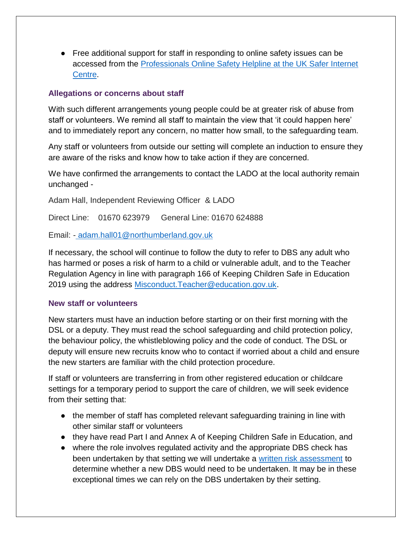● Free additional support for staff in responding to online safety issues can be accessed from the [Professionals Online Safety Helpline at the UK Safer Internet](https://www.saferinternet.org.uk/helpline/professionals-online-safety-helpline)  [Centre.](https://www.saferinternet.org.uk/helpline/professionals-online-safety-helpline)

#### **Allegations or concerns about staff**

With such different arrangements young people could be at greater risk of abuse from staff or volunteers. We remind all staff to maintain the view that 'it could happen here' and to immediately report any concern, no matter how small, to the safeguarding team.

Any staff or volunteers from outside our setting will complete an induction to ensure they are aware of the risks and know how to take action if they are concerned.

We have confirmed the arrangements to contact the LADO at the local authority remain unchanged -

Adam Hall, Independent Reviewing Officer & LADO

Direct Line: 01670 623979 General Line: 01670 624888

Email: [-](http://adam.hall01@northumberland.gov.uk/) [adam.hall01@northumberland.gov.uk](http://adam.hall01@northumberland.gov.uk/) 

If necessary, the school will continue to follow the duty to refer to DBS any adult who has harmed or poses a risk of harm to a child or vulnerable adult, and to the Teacher Regulation Agency in line with paragraph 166 of Keeping Children Safe in Education 2019 using the address [Misconduct.Teacher@education.gov.uk.](mailto:Misconduct.Teacher@education.gov.uk)

#### **New staff or volunteers**

New starters must have an induction before starting or on their first morning with the DSL or a deputy. They must read the school safeguarding and child protection policy, the behaviour policy, the whistleblowing policy and the code of conduct. The DSL or deputy will ensure new recruits know who to contact if worried about a child and ensure the new starters are familiar with the child protection procedure.

If staff or volunteers are transferring in from other registered education or childcare settings for a temporary period to support the care of children, we will seek evidence from their setting that:

- the member of staff has completed relevant safeguarding training in line with other similar staff or volunteers
- they have read Part I and Annex A of Keeping Children Safe in Education, and
- where the role involves regulated activity and the appropriate DBS check has been undertaken by that setting we will undertake a [written risk assessment](https://www.saferrecruitmentconsortium.org/Risk%20Assessment%20for%20Volunteers%20PRINT%20VERSION%20Wardell%20Associates.docx) to determine whether a new DBS would need to be undertaken. It may be in these exceptional times we can rely on the DBS undertaken by their setting.